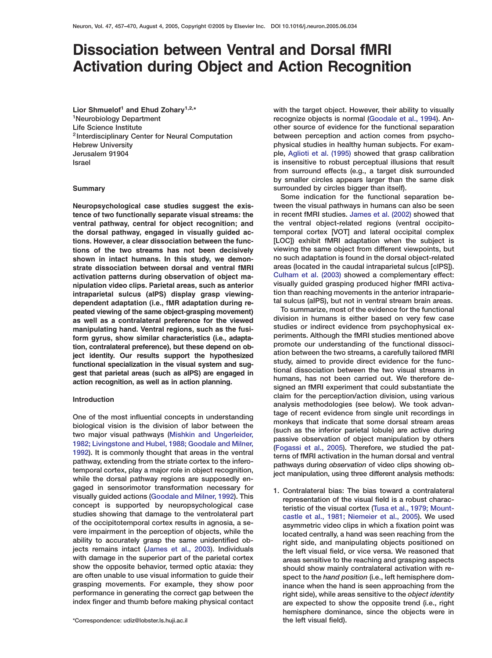# **Dissociation between Ventral and Dorsal fMRI Activation during Object and Action Recognition**

**tence of two functionally separate visual streams: the in recent fMRI studies. [James et al. \(2002\)](#page-12-0) showed that ventral pathway, central for object recognition; and the ventral object-related regions (ventral occipitothe dorsal pathway, engaged in visually guided ac- temporal cortex [VOT] and lateral occipital complex tions. However, a clear dissociation between the func- [LOC]) exhibit fMRI adaptation when the subject is tions of the two streams has not been decisively viewing the same object from different viewpoints, but shown in intact humans. In this study, we demon- no such adaptation is found in the dorsal object-related strate dissociation between dorsal and ventral fMRI areas (located in the caudal intraparietal sulcus [cIPS]). activation patterns during observation of object manipulation video clips. Parietal areas, such as anterior visually guided grasping produced higher fMRI activation than reaching movements in the anterior intraparie-**<br> **dependent adaptation (i.e. fMR adaptation during re-** tal sulcus (aIPS), but not in ventral stream brain areas. **dependent adaptation (i.e., fMR adaptation during re- tal sulcus (aIPS), but not in ventral stream brain areas. peated viewing of the same object-grasping movement) To summarize, most of the evidence for the functional division in humans is either based on very few case**<br>**manipulating hand, Ventral regions, such as the fusi-** studies or indirect evidence from psychophysical exmanipulating hand. Ventral regions, such as the fusi-<br> **Studies or indirect evidence from psychophysical ex-**<br>
periments. Although the fMRI studies mentioned above

One of the most influential concepts in understanding<br>biological vision is the division of labor between the<br>two major visual pathways [\(Mishkin and Ungerleider,](#page-13-0)<br>[1982; Livingstone and Hubel, 1988; Goodale and Milner,](#page-13-0)<br>[1992](#page-13-0)). gaged in sensorimotor transformation necessary for **1. Contralateral bias: The bias toward a contralateral** visually guided actions (Goodale and Milner, 1992). This visually guided actions [\(Goodale and Milner, 1992\)](#page-12-0). This<br>concept is supported by neuropsychological case<br>studies showing that damage to the ventrolateral part<br>of the occipitotemporal cortex results in agnosia, a se-<br>vere i with damage in the superior part of the parietal cortex<br>
show the paristic et areas sensitive to the reaching and grasping aspects<br>
should show mainly contralateral activation with reshow the opposite behavior, termed optic ataxia: they should show mainly contralateral activation with re-<br>are often unable to use visual information to guide their spect to the hand position (i.e. left hemisphere dom**are often unable to use visual information to guide their spect to the** *hand position* **(i.e., left hemisphere domperformance in generating the correct gap between the right side), while areas sensitive to the** *object identity*

**Lior Shmuelof<sup>1</sup> and Ehud Zohary1,2,\* with the target object. However, their ability to visually recognize objects is normal [\(Goodale et al., 1994\)](#page-12-0). An- 1Neurobiology Department Life Science Institute other source of evidence for the functional separation between perception and action comes from psycho- <sup>2</sup> Interdisciplinary Center for Neural Computation Hebrew University physical studies in healthy human subjects. For exam-Jerusalem 91904 ple, [Aglioti et al. \(1995\)](#page-12-0) showed that grasp calibration Israel is insensitive to robust perceptual illusions that result from surround effects (e.g., a target disk surrounded by smaller circles appears larger than the same disk Summary surrounded by circles bigger than itself).**

**Some indication for the functional separation be-Neuropsychological case studies suggest the exis- tween the visual pathways in humans can also be seen**

Form gyrus, show similar characteristics (i.e., adapta-<br>
ion, contralateral preference), but these depend on ob-<br>
ject identity. Our results support the hypothesized<br>
functional specialization in the visual system and sug**claim for the perception/action division, using various Introduction analysis methodologies (see below). We took advan-**

inance when the hand is seen approaching from the **index finger and thumb before making physical contact are expected to show the opposite trend (i.e., right hemisphere dominance, since the objects were in**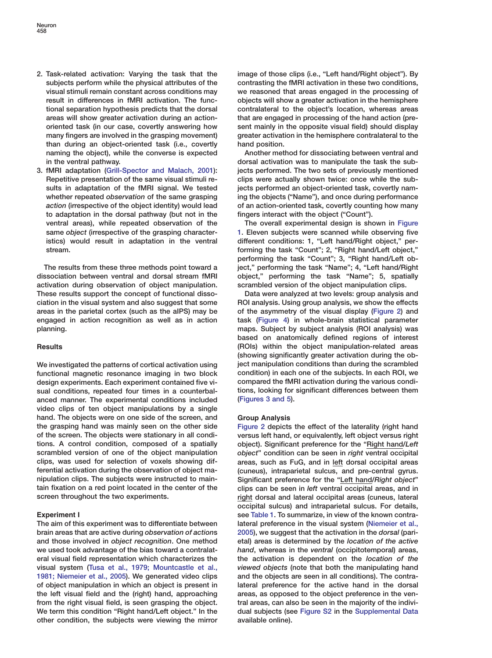- **than during an object-oriented task (i.e., covertly hand position. naming the object), while the converse is expected Another method for dissociating between ventral and**
- **3. fMRI adaptation [\(Grill-Spector and Malach, 2001\)](#page-12-0): jects performed. The two sets of previously mentioned to adaptation in the dorsal pathway (but not in the fingers interact with the object ("Count").**

**dissociation between ventral and dorsal stream fMRI object," performing the task "Name"; 5, spatially activation during observation of object manipulation. scrambled version of the object manipulation clips. These results support the concept of functional disso- Data were analyzed at two levels: group analysis and ciation in the visual system and also suggest that some ROI analysis. Using group analysis, we show the effects areas in the parietal cortex (such as the aIPS) may be of the asymmetry of the visual display [\(Figure 2\)](#page-2-0) and engaged in action recognition as well as in action task [\(Figure 4\)](#page-5-0) in whole-brain statistical parameter planning. maps. Subject by subject analysis (ROI analysis) was**

**functional magnetic resonance imaging in two block condition) in each one of the subjects. In each ROI, we design experiments. Each experiment contained five vi- compared the fMRI activation during the various condisual conditions, repeated four times in a counterbal- tions, looking for significant differences between them anced manner. The experimental conditions included [\(Figures 3 and 5\)](#page-3-0). video clips of ten object manipulations by a single hand. The objects were on one side of the screen, and Group Analysis the grasping hand was mainly seen on the other side [Figure 2](#page-2-0) depicts the effect of the laterality (right hand of the screen. The objects were stationary in all condi- versus left hand, or equivalently, left object versus right tions. A control condition, composed of a spatially object). Significant preference for the "Right hand/***Left* **scrambled version of one of the object manipulation** *object***" condition can be seen in** *right* **ventral occipital clips, was used for selection of voxels showing dif- areas, such as FuG, and in left dorsal occipital areas ferential activation during the observation of object ma- (cuneus), intraparietal sulcus, and pre-central gyrus. nipulation clips. The subjects were instructed to main- Significant preference for the "Left hand/***Right object***" tain fixation on a red point located in the center of the clips can be seen in** *left* **ventral occipital areas, and in**

**brain areas that are active during** *observation of action***s [2005](#page-13-0)), we suggest that the activation in the** *dorsal* **(pariand those involved in** *object recognition***. One method etal) areas is determined by the** *location of the active* **we used took advantage of the bias toward a contralat-** *hand***, whereas in the** *ventral* **(occipitotemporal) areas, eral visual field representation which characterizes the the activation is dependent on the** *location of the* **visual system [\(Tusa et al., 1979; Mountcastle et al.,](#page-13-0)** *viewed objects* **(note that both the manipulating hand [1981; Niemeier et al., 2005\)](#page-13-0). We generated video clips and the objects are seen in all conditions). The contraof object manipulation in which an object is present in lateral preference for the active hand in the dorsal the left visual field and the (right) hand, approaching areas, as opposed to the object preference in the venfrom the right visual field, is seen grasping the object. tral areas, can also be seen in the majority of the indivi-We term this condition "Right hand/Left object." In the dual subjects (see Figure S2 in the Supplemental Data other condition, the subjects were viewing the mirror available online).**

**2. Task-related activation: Varying the task that the image of those clips (i.e., "Left hand/Right object"). By subjects perform while the physical attributes of the contrasting the fMRI activation in these two conditions, visual stimuli remain constant across conditions may we reasoned that areas engaged in the processing of result in differences in fMRI activation. The func- objects will show a greater activation in the hemisphere tional separation hypothesis predicts that the dorsal contralateral to the object's location, whereas areas areas will show greater activation during an action- that are engaged in processing of the hand action (preoriented task (in our case, covertly answering how sent mainly in the opposite visual field) should display many fingers are involved in the grasping movement) greater activation in the hemisphere contralateral to the**

in the ventral pathway. *in the ventral pathway. in the ventral pathway. in the sub-***Repetitive presentation of the same visual stimuli re- clips were actually shown twice: once while the subsults in adaptation of the fMRI signal. We tested jects performed an object-oriented task, covertly namwhether repeated** *observation* **of the same grasping ing the objects ("Name"), and once during performance** *action* **(irrespective of the object identity) would lead of an action-oriented task, covertly counting how many**

**ventral areas), while repeated observation of the The overall experimental design is shown in [Figure](#page-2-0) same** *object* **(irrespective of the grasping character- [1](#page-2-0). Eleven subjects were scanned while observing five istics) would result in adaptation in the ventral different conditions: 1, "Left hand/Right object," perstream. forming the task "Count"; 2, "Right hand/Left object," performing the task "Count"; 3, "Right hand/Left ob-The results from these three methods point toward a ject," performing the task "Name"; 4, "Left hand/Right**

**based on anatomically defined regions of interest Results (ROIs) within the object manipulation-related areas (showing significantly greater activation during the ob-We investigated the patterns of cortical activation using ject manipulation conditions than during the scrambled**

**screen throughout the two experiments. right dorsal and lateral occipital areas (cuneus, lateral occipital sulcus) and intraparietal sulcus. For details, Experiment I see [Table 1.](#page-4-0) To summarize, in view of the known contra-The aim of this experiment was to differentiate between lateral preference in the visual system [\(Niemeier et al.,](#page-13-0)**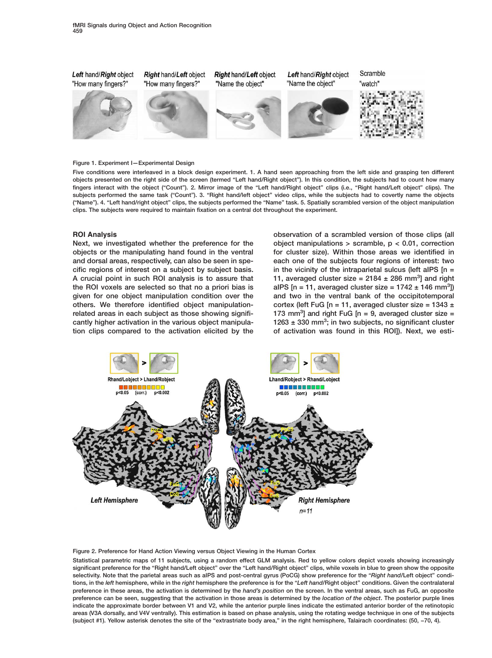<span id="page-2-0"></span>Left hand/Right object Right hand/Left object Right hand/Left object Left hand/Right object "How many fingers?" "How many fingers?" "Name the object" "Name the object"

### **Figure 1. Experiment I—Experimental Design**

**Five conditions were interleaved in a block design experiment. 1. A hand seen approaching from the left side and grasping ten different objects presented on the right side of the screen (termed "Left hand/Right object"). In this condition, the subjects had to count how many fingers interact with the object ("Count"). 2. Mirror image of the "Left hand/Right object" clips (i.e., "Right hand/Left object" clips). The subjects performed the same task ("Count"). 3. "Right hand/left object" video clips, while the subjects had to covertly name the objects ("Name"). 4. "Left hand/right object" clips, the subjects performed the "Name" task. 5. Spatially scrambled version of the object manipulation clips. The subjects were required to maintain fixation on a central dot throughout the experiment.**

**objects or the manipulating hand found in the ventral for cluster size). Within those areas we identified in and dorsal areas, respectively, can also be seen in spe- each one of the subjects four regions of interest: two cific regions of interest on a subject by subject basis. in the vicinity of the intraparietal sulcus (left aIPS [n = 11, averaged cluster size = 2184 ± 286 mm3 A crucial point in such ROI analysis is to assure that ] and right** the ROI voxels are selected so that no a priori bias is aIPS  $[n = 11$ , averaged cluster size =  $1742 \pm 146$  mm<sup>3</sup>]) **given for one object manipulation condition over the and two in the ventral bank of the occipitotemporal others. We therefore identified object manipulation- cortex (left FuG [n = 11, averaged cluster size = 1343 ± 173 mm3 related areas in each subject as those showing signifi- ] and right FuG [n = 9, averaged cluster size = cantly higher activation in the various object manipula- 1263 ± 330 mm3; in two subjects, no significant cluster tion clips compared to the activation elicited by the of activation was found in this ROI]). Next, we esti-**

**ROI Analysis observation of a scrambled version of those clips (all Next, we investigated whether the preference for the object manipulations > scramble, p < 0.01, correction**

Scramble

"watch



**Figure 2. Preference for Hand Action Viewing versus Object Viewing in the Human Cortex**

**Statistical parametric maps of 11 subjects, using a random effect GLM analysis. Red to yellow colors depict voxels showing increasingly significant preference for the "Right hand/Left object" over the "Left hand/Right object" clips, while voxels in blue to green show the opposite selectivity. Note that the parietal areas such as aIPS and post-central gyrus (PoCG) show preference for the "***Right hand***/Left object" conditions, in the** *left* **hemisphere, while in the** *right* **hemisphere the preference is for the "***Left hand***/Right object" conditions. Given the contralateral preference in these areas, the activation is determined by the** *hand's position* **on the screen. In the ventral areas, such as FuG, an opposite preference can be seen, suggesting that the activation in those areas is determined by the** *location of the object***. The posterior purple lines indicate the approximate border between V1 and V2, while the anterior purple lines indicate the estimated anterior border of the retinotopic areas (V3A dorsally, and V4V ventrally). This estimation is based on phase analysis, using the rotating wedge technique in one of the subjects (subject #1). Yellow asterisk denotes the site of the "extrastriate body area," in the right hemisphere, Talairach coordinates: (50, −70, 4).**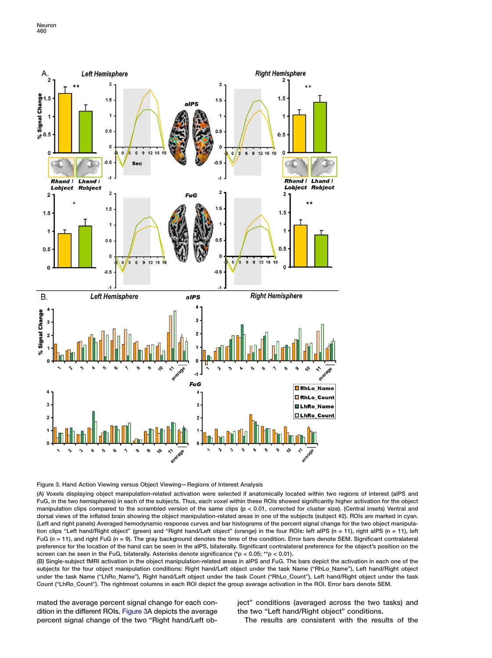<span id="page-3-0"></span>

## **Figure 3. Hand Action Viewing versus Object Viewing—Regions of Interest Analysis**

**(A) Voxels displaying object manipulation-related activation were selected if anatomically located within two regions of interest (aIPS and FuG, in the two hemispheres) in each of the subjects. Thus, each voxel within these ROIs showed significantly higher activation for the object manipulation clips compared to the scrambled version of the same clips (p < 0.01, corrected for cluster size). (Central insets) Ventral and dorsal views of the inflated brain showing the object manipulation-related areas in one of the subjects (subject #2). ROIs are marked in cyan. (Left and right panels) Averaged hemodynamic response curves and bar histograms of the percent signal change for the two object manipulation clips "Left hand/Right object" (green) and "Right hand/Left object" (orange) in the four ROIs: left aIPS (n = 11), right aIPS (n = 11), left FuG (n = 11), and right FuG (n = 9). The gray background denotes the time of the condition. Error bars denote SEM. Significant contralateral preference for the location of the hand can be seen in the aIPS, bilaterally. Significant contralateral preference for the object's position on the screen can be seen in the FuG, bilaterally. Asterisks denote significance (\*p < 0.05; \*\*p < 0.01).**

**(B) Single-subject fMRI activation in the object manipulation-related areas in aIPS and FuG. The bars depict the activation in each one of the subjects for the four object manipulation conditions: Right hand/Left object under the task Name ("RhLo\_Name"), Left hand/Right object under the task Name ("LhRo\_Name"), Right hand/Left object under the task Count ("RhLo\_Count"), Left hand/Right object under the task Count ("LhRo\_Count"). The rightmost columns in each ROI depict the group average activation in the ROI. Error bars denote SEM.**

**dition in the different ROIs. Figure 3A depicts the average the two "Left hand/Right object" conditions. percent signal change of the two "Right hand/Left ob- The results are consistent with the results of the**

**mated the average percent signal change for each con- ject" conditions (averaged across the two tasks) and**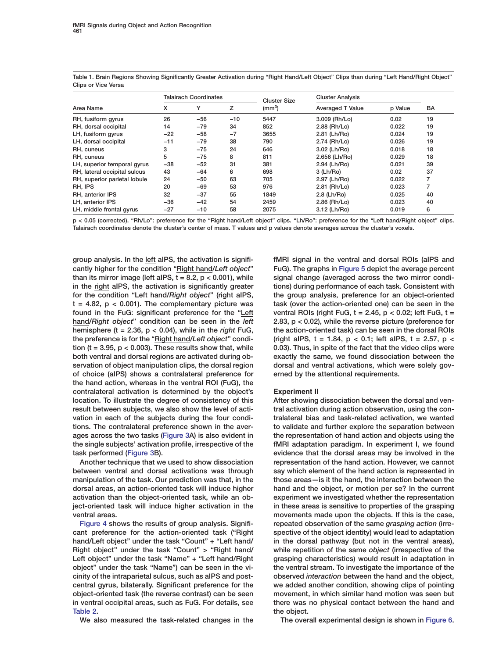|                              | <b>Talairach Coordinates</b> |       |       | <b>Cluster Size</b> | <b>Cluster Analysis</b> |         |           |  |
|------------------------------|------------------------------|-------|-------|---------------------|-------------------------|---------|-----------|--|
| Area Name                    | x                            | Y     | z     | (mm <sup>3</sup> )  | <b>Averaged T Value</b> | p Value | <b>BA</b> |  |
| RH, fusiform gyrus           | 26                           | $-56$ | $-10$ | 5447                | 3.009 (Rh/Lo)           | 0.02    | 19        |  |
| RH, dorsal occipital         | 14                           | $-79$ | 34    | 852                 | 2.88 (Rh/Lo)            | 0.022   | 19        |  |
| LH, fusiform gyrus           | $-22$                        | $-58$ | $-7$  | 3655                | 2.81 (Lh/Ro)            | 0.024   | 19        |  |
| LH, dorsal occipital         | $-11$                        | $-79$ | 38    | 790                 | 2.74 (Rh/Lo)            | 0.026   | 19        |  |
| RH, cuneus                   | 3                            | $-75$ | 24    | 646                 | 3.02 (Lh/Ro)            | 0.018   | 18        |  |
| RH, cuneus                   | 5                            | $-75$ | 8     | 811                 | 2.656 (Lh/Ro)           | 0.029   | 18        |  |
| LH, superior temporal gyrus  | $-38$                        | $-52$ | 31    | 381                 | 2.94 (Lh/Ro)            | 0.021   | 39        |  |
| RH, lateral occipital sulcus | 43                           | $-64$ | 6     | 698                 | 3 (Lh/Ro)               | 0.02    | 37        |  |
| RH, superior parietal lobule | 24                           | $-50$ | 63    | 705                 | 2.97 (Lh/Ro)            | 0.022   | 7         |  |
| RH, IPS                      | 20                           | $-69$ | 53    | 976                 | 2.81 (Rh/Lo)            | 0.023   | 7         |  |
| <b>RH.</b> anterior IPS      | 32                           | $-37$ | 55    | 1849                | 2.8 (Lh/Ro)             | 0.025   | 40        |  |
| LH, anterior IPS             | -36                          | $-42$ | 54    | 2459                | 2.86 (Rh/Lo)            | 0.023   | 40        |  |
| LH, middle frontal gyrus     | $-27$                        | $-10$ | 58    | 2075                | 3.12 (Lh/Ro)            | 0.019   | 6         |  |

<span id="page-4-0"></span>**Table 1. Brain Regions Showing Significantly Greater Activation during "Right Hand/Left Object" Clips than during "Left Hand/Right Object" Clips or Vice Versa**

**p < 0.05 (corrected). "Rh/Lo": preference for the "Right hand/Left object" clips. "Lh/Ro": preference for the "Left hand/Right object" clips. Talairach coordinates denote the cluster's center of mass. T values and p values denote averages across the cluster's voxels.**

**group analysis. In the left aIPS, the activation is signifi- fMRI signal in the ventral and dorsal ROIs (aIPS and cantly higher for the condition "Right hand/***Left object***" FuG). The graphs in [Figure 5](#page-6-0) depict the average percent than its mirror image (left aIPS, t = 8.2, p < 0.001), while signal change (averaged across the two mirror condiin the right aIPS, the activation is significantly greater tions) during performance of each task. Consistent with for the condition "Left hand/***Right object***" (right aIPS, the group analysis, preference for an object-oriented t = 4.82, p < 0.001). The complementary picture was task (over the action-oriented one) can be seen in the found in the FuG: significant preference for the "Left ventral ROIs (right FuG, t = 2.45, p < 0.02; left FuG, t = hand/***Right object***" condition can be seen in the** *left* **2.83, p < 0.02), while the reverse picture (preference for hemisphere (t = 2.36, p < 0.04), while in the** *right* **FuG, the action-oriented task) can be seen in the dorsal ROIs the preference is for the "Right hand/***Left object***" condi- (right aIPS, t = 1.84, p < 0.1; left aIPS, t = 2.57, p < tion (t = 3.95, p < 0.003). These results show that, while 0.03). Thus, in spite of the fact that the video clips were both ventral and dorsal regions are activated during ob- exactly the same, we found dissociation between the** servation of object manipulation clips, the dorsal region dorsal and ventral activations, which were solely gov**of choice (aIPS) shows a contralateral preference for erned by the attentional requirements. the hand action, whereas in the ventral ROI (FuG), the contralateral activation is determined by the object's Experiment II location. To illustrate the degree of consistency of this After showing dissociation between the dorsal and ven**result between subjects, we also show the level of acti-<br>
tral activation during action observation, using the con**vation in each of the subjects during the four condi- tralateral bias and task-related activation, we wanted tions. The contralateral preference shown in the aver- to validate and further explore the separation between ages across the two tasks [\(Figure 3A](#page-3-0)) is also evident in the representation of hand action and objects using the the single subjects' activation profile, irrespective of the fMRI adaptation paradigm. In experiment I, we found**

**[Table 2.](#page-5-0) the object.**

**We also measured the task-related changes in the The overall experimental design is shown in [Figure 6.](#page-6-0)**

**task performed [\(Figure 3B](#page-3-0)). evidence that the dorsal areas may be involved in the Another technique that we used to show dissociation representation of the hand action. However, we cannot between ventral and dorsal activations was through say which element of the hand action is represented in** manipulation of the task. Our prediction was that, in the those areas-is it the hand, the interaction between the **dorsal areas, an action-oriented task will induce higher hand and the object, or motion per se? In the current activation than the object-oriented task, while an ob- experiment we investigated whether the representation ject-oriented task will induce higher activation in the in these areas is sensitive to properties of the grasping ventral areas. movements made upon the objects. If this is the case, [Figure 4](#page-5-0) shows the results of group analysis. Signifi- repeated observation of the same** *grasping action* **(irrecant preference for the action-oriented task ("Right spective of the object identity) would lead to adaptation hand/Left object" under the task "Count" + "Left hand/ in the dorsal pathway (but not in the ventral areas), Right object" under the task "Count" > "Right hand/ while repetition of the same** *object* **(irrespective of the Left object" under the task "Name" + "Left hand/Right grasping characteristics) would result in adaptation in object" under the task "Name") can be seen in the vi- the ventral stream. To investigate the importance of the cinity of the intraparietal sulcus, such as aIPS and post- observed** *interaction* **between the hand and the object, central gyrus, bilaterally. Significant preference for the we added another condition, showing clips of pointing object-oriented task (the reverse contrast) can be seen movement, in which similar hand motion was seen but in ventral occipital areas, such as FuG. For details, see there was no physical contact between the hand and**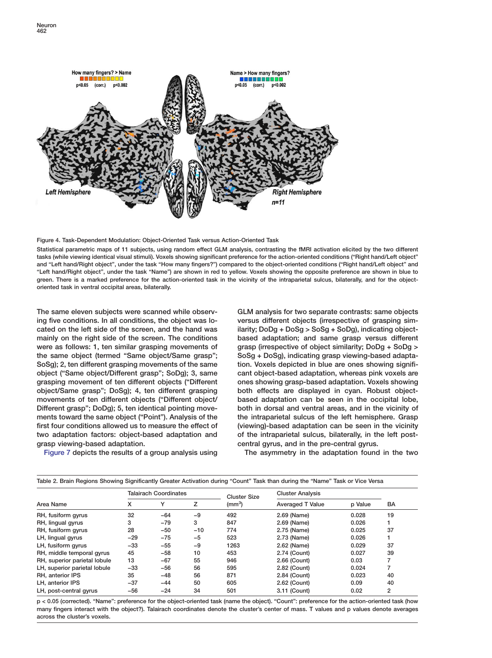<span id="page-5-0"></span>

### **Figure 4. Task-Dependent Modulation: Object-Oriented Task versus Action-Oriented Task**

**Statistical parametric maps of 11 subjects, using random effect GLM analysis, contrasting the fMRI activation elicited by the two different tasks (while viewing identical visual stimuli). Voxels showing significant preference for the action-oriented conditions ("Right hand/Left object" and "Left hand/Right object", under the task "How many fingers?") compared to the object-oriented conditions ("Right hand/Left object" and "Left hand/Right object", under the task "Name") are shown in red to yellow. Voxels showing the opposite preference are shown in blue to green. There is a marked preference for the action-oriented task in the vicinity of the intraparietal sulcus, bilaterally, and for the objectoriented task in ventral occipital areas, bilaterally.**

**The same eleven subjects were scanned while observ- GLM analysis for two separate contrasts: same objects ing five conditions. In all conditions, the object was lo- versus different objects (irrespective of grasping simcated on the left side of the screen, and the hand was ilarity; DoDg + DoSg > SoSg + SoDg), indicating objectmainly on the right side of the screen. The conditions based adaptation; and same grasp versus different were as follows: 1, ten similar grasping movements of grasp (irrespective of object similarity; DoDg + SoDg > the same object (termed "Same object/Same grasp"; SoSg + DoSg), indicating grasp viewing-based adapta-SoSg); 2, ten different grasping movements of the same tion. Voxels depicted in blue are ones showing signifiobject ("Same object/Different grasp"; SoDg); 3, same cant object-based adaptation, whereas pink voxels are grasping movement of ten different objects ("Different ones showing grasp-based adaptation. Voxels showing object/Same grasp"; DoSg); 4, ten different grasping both effects are displayed in cyan. Robust objectmovements of ten different objects ("Different object/ based adaptation can be seen in the occipital lobe, Different grasp"; DoDg); 5, ten identical pointing move- both in dorsal and ventral areas, and in the vicinity of** ments toward the same object ("Point"). Analysis of the the intraparietal sulcus of the left hemisphere. Grasp **first four conditions allowed us to measure the effect of (viewing)-based adaptation can be seen in the vicinity two adaptation factors: object-based adaptation and of the intraparietal sulcus, bilaterally, in the left postgrasp viewing-based adaptation. central gyrus, and in the pre-central gyrus.**

**[Figure 7](#page-7-0) depicts the results of a group analysis using The asymmetry in the adaptation found in the two**

| Table 2. Brain Regions Showing Significantly Greater Activation during "Count" Task than during the "Name" Task or Vice Versa |                              |              |       |                     |                         |         |                |  |
|-------------------------------------------------------------------------------------------------------------------------------|------------------------------|--------------|-------|---------------------|-------------------------|---------|----------------|--|
|                                                                                                                               | <b>Talairach Coordinates</b> |              |       | <b>Cluster Size</b> | <b>Cluster Analysis</b> |         |                |  |
| Area Name                                                                                                                     | х                            | $\checkmark$ |       | (mm <sup>3</sup> )  | Averaged T Value        | p Value | <b>BA</b>      |  |
| RH, fusiform gyrus                                                                                                            | 32                           | $-64$        | $-9$  | 492                 | 2.69 (Name)             | 0.028   | 19             |  |
| RH, lingual gyrus                                                                                                             | 3                            | $-79$        | 3     | 847                 | 2.69 (Name)             | 0.026   |                |  |
| RH, fusiform gyrus                                                                                                            | 28                           | $-50$        | $-10$ | 774                 | 2.75 (Name)             | 0.025   | 37             |  |
| LH, lingual gyrus                                                                                                             | $-29$                        | $-75$        | $-5$  | 523                 | 2.73 (Name)             | 0.026   |                |  |
| LH, fusiform gyrus                                                                                                            | -33                          | $-55$        | $-9$  | 1263                | 2.62 (Name)             | 0.029   | 37             |  |
| RH, middle temporal gyrus                                                                                                     | 45                           | $-58$        | 10    | 453                 | 2.74 (Count)            | 0.027   | 39             |  |
| RH, superior parietal lobule                                                                                                  | 13                           | $-67$        | 55    | 946                 | 2.66 (Count)            | 0.03    |                |  |
| LH, superior parietal lobule                                                                                                  | $-33$                        | -56          | 56    | 595                 | 2.82 (Count)            | 0.024   |                |  |
| RH. anterior IPS                                                                                                              | 35                           | $-48$        | 56    | 871                 | 2.84 (Count)            | 0.023   | 40             |  |
| LH. anterior IPS                                                                                                              | $-37$                        | -44          | 50    | 605                 | 2.62 (Count)            | 0.09    | 40             |  |
| LH, post-central gyrus                                                                                                        | -56                          | $-24$        | 34    | 501                 | 3.11 (Count)            | 0.02    | $\overline{2}$ |  |

**p < 0.05 (corrected). "Name": preference for the object-oriented task (name the object). "Count": preference for the action-oriented task (how many fingers interact with the object?). Talairach coordinates denote the cluster's center of mass. T values and p values denote averages across the cluster's voxels.**

| Table 2. Brain Regions Showing Significantly Greater Activation during "Count" Task than during the "Name" Task or Vice |  |  |  |  |
|-------------------------------------------------------------------------------------------------------------------------|--|--|--|--|
|                                                                                                                         |  |  |  |  |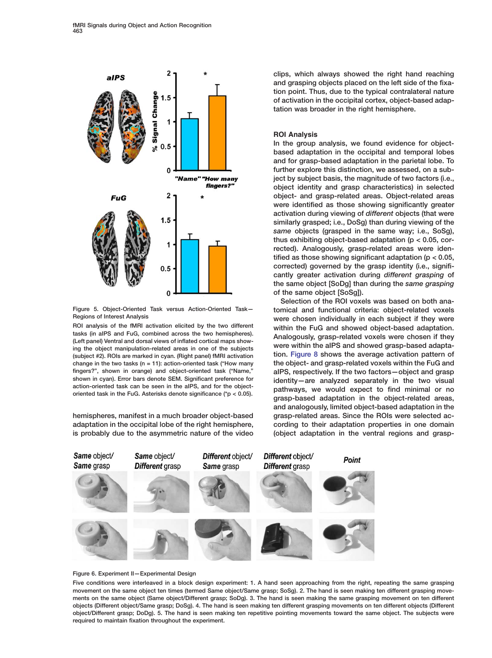<span id="page-6-0"></span>

**is probably due to the asymmetric nature of the video (object adaptation in the ventral regions and grasp-**

**clips, which always showed the right hand reaching and grasping objects placed on the left side of the fixation point. Thus, due to the typical contralateral nature of activation in the occipital cortex, object-based adaptation was broader in the right hemisphere.**

# **ROI Analysis**

**In the group analysis, we found evidence for objectbased adaptation in the occipital and temporal lobes and for grasp-based adaptation in the parietal lobe. To further explore this distinction, we assessed, on a subject by subject basis, the magnitude of two factors (i.e., object identity and grasp characteristics) in selected object- and grasp-related areas. Object-related areas were identified as those showing significantly greater activation during viewing of** *different* **objects (that were similarly grasped; i.e., DoSg) than during viewing of the** *same* **objects (grasped in the same way; i.e., SoSg), thus exhibiting object-based adaptation (p < 0.05, corrected). Analogously, grasp-related areas were identified as those showing significant adaptation (p < 0.05, corrected) governed by the grasp identity (i.e., significantly greater activation during** *different grasping* **of the same object [SoDg] than during the** *same grasping* **of the same object [SoSg]).**

**Selection of the ROI voxels was based on both ana-Figure 5. Object-Oriented Task versus Action-Oriented Task— tomical and functional criteria: object-related voxels** Regions of Interest Analysis<br>ROI analysis of the fMRI activation elicited by the two different within the FuG and showed object-based adaptation ROI analysis of the fMRI activation elicited by the two different tasks (in alPS and FuG, combined across the two hemispheres).<br>
(Left panel) Ventral and dorsal views of inflated cortical maps show-<br>
ing the object manipul **tion. [Figure 8](#page-8-0) shows the average activation pattern of (subject #2). ROIs are marked in cyan. (Right panel) fMRI activation change in the two tasks (n = 11): action-oriented task ("How many the object- and grasp-related voxels within the FuG and fingers?", shown in orange) and object-oriented task ("Name," aIPS, respectively. If the two factors—object and grasp** shown in cyan). Error bars denote SEM. Significant preference for<br>action-oriented task can be seen in the aIPS, and for the object-<br>oriented task in the FuG. Asterisks denote significance (\*p < 0.05). grasp-based adaptati **and analogously, limited object-based adaptation in the hemispheres, manifest in a much broader object-based grasp-related areas. Since the ROIs were selected acadaptation in the occipital lobe of the right hemisphere, cording to their adaptation properties in one domain**



### **Figure 6. Experiment II—Experimental Design**

**Five conditions were interleaved in a block design experiment: 1. A hand seen approaching from the right, repeating the same grasping movement on the same object ten times (termed Same object/Same grasp; SoSg). 2. The hand is seen making ten different grasping movements on the same object (Same object/Different grasp; SoDg). 3. The hand is seen making the same grasping movement on ten different objects (Different object/Same grasp; DoSg). 4. The hand is seen making ten different grasping movements on ten different objects (Different object/Different grasp; DoDg). 5. The hand is seen making ten repetitive pointing movements toward the same object. The subjects were required to maintain fixation throughout the experiment.**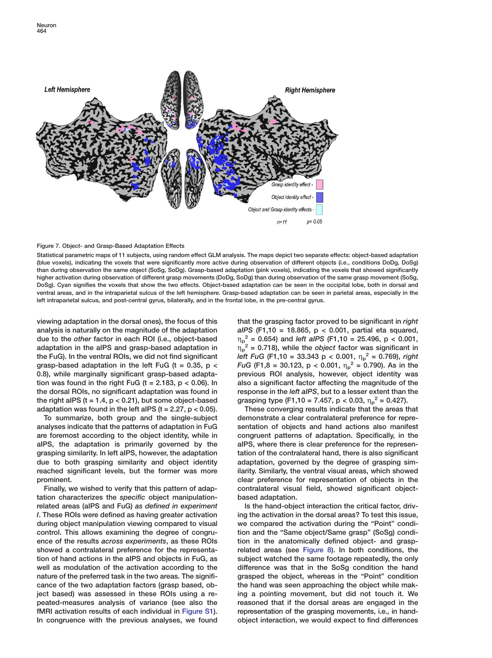<span id="page-7-0"></span>

### **Figure 7. Object- and Grasp-Based Adaptation Effects**

**Statistical parametric maps of 11 subjects, using random effect GLM analysis. The maps depict two separate effects: object-based adaptation (blue voxels), indicating the voxels that were significantly more active during observation of different objects (i.e., conditions DoDg, DoSg) than during observation the same object (SoSg, SoDg). Grasp-based adaptation (pink voxels), indicating the voxels that showed significantly higher activation during observation of different grasp movements (DoDg, SoDg) than during observation of the same grasp movement (SoSg, DoSg). Cyan signifies the voxels that show the two effects. Object-based adaptation can be seen in the occipital lobe, both in dorsal and ventral areas, and in the intraparietal sulcus of the left hemisphere. Grasp-based adaptation can be seen in parietal areas, especially in the left intraparietal sulcus, and post-central gyrus, bilaterally, and in the frontal lobe, in the pre-central gyrus.**

**viewing adaptation in the dorsal ones), the focus of this that the grasping factor proved to be significant in** *right* **analysis is naturally on the magnitude of the adaptation** *aIPS* **(F1,10 = 18.865, p < 0.001, partial eta squared, due to the** *other* **factor in each ROI (i.e., object-based** adaptation in the aIPS and grasp-based adaptation in  $\eta_p^2 = 0.718$ ), while the *object* factor was significant in **the FuG). In the ventral ROIs, we did not find significant** *FuG* **(F1,8 = 30.123, p < 0.001,** η**<sup>p</sup> <sup>2</sup> grasp-based adaptation in the left FuG (t = 0.35, p < = 0.790). As in the 0.8), while marginally significant grasp-based adapta- previous ROI analysis, however, object identity was tion was found in the right FuG (t = 2.183, p < 0.06). In also a significant factor affecting the magnitude of the the dorsal ROIs, no significant adaptation was found in response in the** *left aIPS***, but to a lesser extent than the the right aIPS (t = 1.4, p < 0.21), but some object-based grasping type (F1,10 = 7.457, p < 0.03,**  $\eta_p^2$  **= 0.427).** 

**analyses indicate that the patterns of adaptation in FuG sentation of objects and hand actions also manifest are foremost according to the object identity, while in congruent patterns of adaptation. Specifically, in the aIPS, the adaptation is primarily governed by the aIPS, where there is clear preference for the represengrasping similarity. In left aIPS, however, the adaptation tation of the contralateral hand, there is also significant due to both grasping similarity and object identity adaptation, governed by the degree of grasping simreached significant levels, but the former was more ilarity. Similarly, the ventral visual areas, which showed prominent. clear preference for representation of objects in the**

**tation characterizes the** *specific* **object manipulation- based adaptation. related areas (aIPS and FuG)** *as defined in experiment* **Is the hand-object interaction the critical factor, driv-***I***. These ROIs were defined as having greater activation ing the activation in the dorsal areas? To test this issue, during object manipulation viewing compared to visual we compared the activation during the "Point" condi**control. This allows examining the degree of congru-<br>
tion and the "Same object/Same grasp" (SoSg) condi**ence of the results** *across experiments***, as these ROIs tion in the anatomically defined object- and graspshowed a contralateral preference for the representa- related areas (see [Figure 8\)](#page-8-0). In both conditions, the tion of hand actions in the aIPS and objects in FuG, as subject watched the same footage repeatedly, the only** well as modulation of the activation according to the difference was that in the SoSg condition the hand **nature of the preferred task in the two areas. The signifi- grasped the object, whereas in the "Point" condition** cance of the two adaptation factors (grasp based, ob-<br>
the hand was seen approaching the object while mak**ject based) was assessed in these ROIs using a re- ing a pointing movement, but did not touch it. We peated-measures analysis of variance (see also the reasoned that if the dorsal areas are engaged in the fMRI activation results of each individual in Figure S1). representation of the grasping movements, i.e., in hand-In congruence with the previous analyses, we found object interaction, we would expect to find differences**

**<sup>2</sup> = 0.654) and** *left aIPS* **(F1,10 = 25.496, p < 0.001,** *left FuG* (F1,10 = 33.343 p < 0.001,  $\eta_p^2$  = 0.769), *right* 

**adaptation was found in the left aIPS (t = 2.27, p < 0.05). These converging results indicate that the areas that To summarize, both group and the single-subject demonstrate a clear contralateral preference for repre-Finally, we wished to verify that this pattern of adap- contralateral visual field, showed significant object-**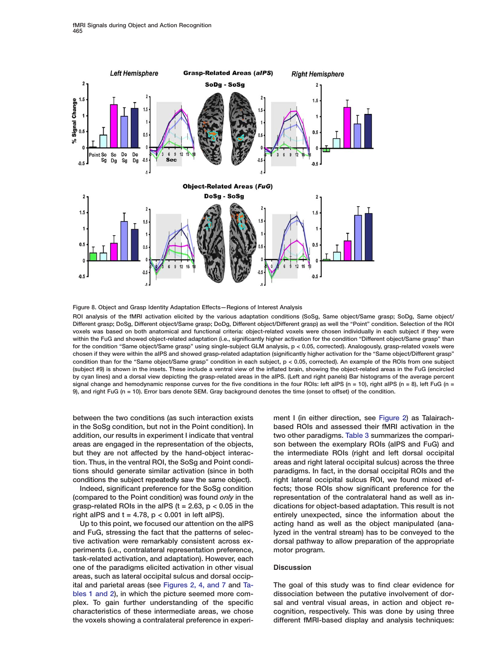<span id="page-8-0"></span>

**Figure 8. Object and Grasp Identity Adaptation Effects—Regions of Interest Analysis**

**ROI analysis of the fMRI activation elicited by the various adaptation conditions (SoSg, Same object/Same grasp; SoDg, Same object/ Different grasp; DoSg, Different object/Same grasp; DoDg, Different object/Different grasp) as well the "Point" condition. Selection of the ROI voxels was based on both anatomical and functional criteria: object-related voxels were chosen individually in each subject if they were within the FuG and showed object-related adaptation (i.e., significantly higher activation for the condition "Different object/Same grasp" than for the condition "Same object/Same grasp" using single-subject GLM analysis, p < 0.05, corrected). Analogously, grasp-related voxels were chosen if they were within the aIPS and showed grasp-related adaptation (significantly higher activation for the "Same object/Different grasp" condition than for the "Same object/Same grasp" condition in each subject, p < 0.05, corrected). An example of the ROIs from one subject (subject #9) is shown in the insets. These include a ventral view of the inflated brain, showing the object-related areas in the FuG (encircled by cyan lines) and a dorsal view depicting the grasp-related areas in the aIPS. (Left and right panels) Bar histograms of the average percent** signal change and hemodynamic response curves for the five conditions in the four ROIs: left aIPS ( $n = 10$ ), right aIPS ( $n = 8$ ), left FuG ( $n = 10$ ) **9), and right FuG (n = 10). Error bars denote SEM. Gray background denotes the time (onset to offset) of the condition.**

**in the SoSg condition, but not in the Point condition). In based ROIs and assessed their fMRI activation in the addition, our results in experiment I indicate that ventral two other paradigms. [Table 3](#page-9-0) summarizes the compariareas are engaged in the representation of the objects, son between the exemplary ROIs (aIPS and FuG) and but they are not affected by the hand-object interac- the intermediate ROIs (right and left dorsal occipital tion. Thus, in the ventral ROI, the SoSg and Point condi- areas and right lateral occipital sulcus) across the three tions should generate similar activation (since in both paradigms. In fact, in the dorsal occipital ROIs and the**

**periments (i.e., contralateral representation preference, motor program. task-related activation, and adaptation). However, each one of the paradigms elicited activation in other visual Discussion areas, such as lateral occipital sulcus and dorsal occipital and parietal areas (see [Figures 2, 4, and 7](#page-2-0) and [Ta-](#page-4-0) The goal of this study was to find clear evidence for [bles 1 and 2\)](#page-4-0), in which the picture seemed more com- dissociation between the putative involvement of dor**plex. To gain further understanding of the specific sal and ventral visual areas, in action and object re**characteristics of these intermediate areas, we chose cognition, respectively. This was done by using three the voxels showing a contralateral preference in experi- different fMRI-based display and analysis techniques:**

**between the two conditions (as such interaction exists ment I (in either direction, see [Figure 2](#page-2-0)) as Talairachconditions the subject repeatedly saw the same object). right lateral occipital sulcus ROI, we found mixed ef-Indeed, significant preference for the SoSg condition fects; those ROIs show significant preference for the (compared to the Point condition) was found** *only* **in the representation of the contralateral hand as well as ingrasp-related ROIs in the aIPS (t = 2.63, p < 0.05 in the dications for object-based adaptation. This result is not right aIPS and t = 4.78, p < 0.001 in left aIPS). entirely unexpected, since the information about the** Up to this point, we focused our attention on the aIPS acting hand as well as the object manipulated (ana**and FuG, stressing the fact that the patterns of selec- lyzed in the ventral stream) has to be conveyed to the tive activation were remarkably consistent across ex- dorsal pathway to allow preparation of the appropriate**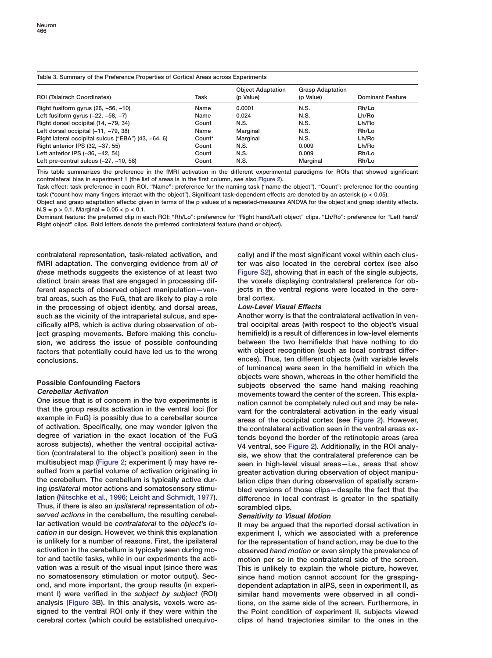### <span id="page-9-0"></span>**Table 3. Summary of the Preference Properties of Cortical Areas across Experiments**

| <b>ROI</b> (Talairach Coordinates)                  | Task   | <b>Object Adaptation</b><br>(p Value) | <b>Grasp Adaptation</b><br>(p Value) | <b>Dominant Feature</b> |
|-----------------------------------------------------|--------|---------------------------------------|--------------------------------------|-------------------------|
| Right fusiform gyrus $(26, -56, -10)$               | Name   | 0.0001                                | N.S.                                 | Rh/Lo                   |
| Left fusiform gyrus $(-22, -58, -7)$                | Name   | 0.024                                 | N.S.                                 | Lh/Ro                   |
| Right dorsal occipital (14, -79, 34)                | Count  | N.S.                                  | N.S.                                 | Lh/Ro                   |
| Left dorsal occipital (-11, -79, 38)                | Name   | Marginal                              | N.S.                                 | Rh/Lo                   |
| Right lateral occipital sulcus ("EBA") (43, -64, 6) | Count* | Marginal                              | N.S.                                 | Lh/Ro                   |
| Right anterior IPS (32, -37, 55)                    | Count  | N.S.                                  | 0.009                                | Lh/Ro                   |
| Left anterior IPS (-36, -42, 54)                    | Count  | N.S.                                  | 0.009                                | Rh/Lo                   |
| Left pre-central sulcus $(-27, -10, 58)$            | Count  | N.S.                                  | Marginal                             | Rh/Lo                   |

**This table summarizes the preference in the fMRI activation in the different experimental paradigms for ROIs that showed significant contralateral bias in experiment 1 (the list of areas is in the first column, see also [Figure 2\)](#page-2-0).**

**Task effect: task preference in each ROI. "Name": preference for the naming task ("name the object"). "Count": preference for the counting task ("count how many fingers interact with the object"). Significant task-dependent effects are denoted by an asterisk (p < 0.05).**

**Object and grasp adaptation effects: given in terms of the p values of a repeated-measures ANOVA for the object and grasp identity effects.**  $N.S = p > 0.1$ . Marginal =  $0.05 < p < 0.1$ .

**Dominant feature: the preferred clip in each ROI: "Rh/Lo": preference for "Right hand/Left object" clips. "Lh/Ro": preference for "Left hand/ Right object" clips. Bold letters denote the preferred contralateral feature (hand or object).**

**contralateral representation, task-related activation, and cally) and if the most significant voxel within each clusfMRI adaptation. The converging evidence from** *all of* **ter was also located in the cerebral cortex (see also** *these* **methods suggests the existence of at least two Figure S2), showing that in each of the single subjects, distinct brain areas that are engaged in processing dif- the voxels displaying contralateral preference for obferent aspects of observed object manipulation—ven- jects in the ventral regions were located in the ceretral areas, such as the FuG, that are likely to play a role bral cortex.** in the processing of object identity, and dorsal areas, **such as the vicinity of the intraparietal sulcus, and spe- Another worry is that the contralateral activation in vencifically aIPS, which is active during observation of ob- tral occipital areas (with respect to the object's visual ject grasping movements. Before making this conclu- hemifield) is a result of differences in low-level elements sion, we address the issue of possible confounding between the two hemifields that have nothing to do** factors that potentially could have led us to the wrong **conclusions. ences). Thus, ten different objects (with variable levels**

**of activation. Specifically, one may wonder (given the the contralateral activation seen in the ventral areas exdegree of variation in the exact location of the FuG tends beyond the border of the retinotopic areas (area across subjects), whether the ventral occipital activa- V4 ventral, see [Figure 2\)](#page-2-0). Additionally, in the ROI analytion (contralateral to the object's position) seen in the sis, we show that the contralateral preference can be multisubject map [\(Figure 2;](#page-2-0) experiment I) may have re- seen in high-level visual areas—i.e., areas that show sulted from a partial volume of activation originating in greater activation during observation of object maniputhe cerebellum. The cerebellum is typically active dur- lation clips than during observation of spatially scraming** *ipsilateral* **motor actions and somatosensory stimu- bled versions of those clips—despite the fact that the Thus, if there is also an** *ipsilateral* **representation of** *ob-* **scrambled clips.** *served actions* **in the cerebellum, the resulting cerebel-** *Sensitivity to Visual Motion cation* **in our design. However, we think this explanation experiment I, which we associated with a preference is unlikely for a number of reasons. First, the ipsilateral for the representation of hand action, may be due to the activation in the cerebellum is typically seen during mo- observed** *hand motion* **or even simply the prevalence of tor and tactile tasks, while in our experiments the acti- motion per se in the contralateral side of the screen. vation was a result of the visual input (since there was This is unlikely to explain the whole picture, however, no somatosensory stimulation or motor output). Sec- since hand motion cannot account for the graspingond, and more important, the group results (in experi- dependent adaptation in aIPS, seen in experiment II, as ment I) were verified in the** *subject by subject* **(ROI) similar hand movements were observed in all condianalysis [\(Figure 3](#page-3-0)B). In this analysis, voxels were as- tions, on the same side of the screen. Furthermore, in signed to the ventral ROI only if they were within the the Point condition of experiment II, subjects viewed cerebral cortex (which could be established unequivo- clips of hand trajectories similar to the ones in the**

**of luminance) were seen in the hemifield in which the** Possible Confounding Factors<br>
Cerebellar Activation<br>
One issue that is of concern in the two experiments is<br>
that the group results activation in the ventral loci (for<br>
example in FuG) is possibly due to a cerebellar sourc difference in local contrast is greater in the spatially

**lar activation would be** *contralateral* **to the** *object's lo-* **It may be argued that the reported dorsal activation in**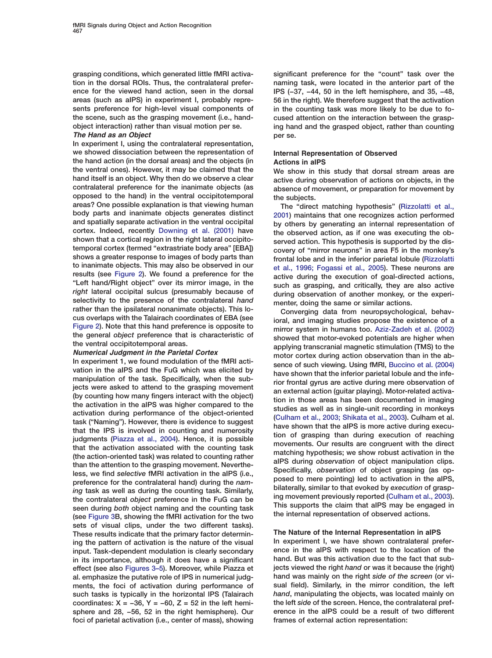**grasping conditions, which generated little fMRI activa- significant preference for the "count" task over the tion in the dorsal ROIs. Thus, the contralateral prefer- naming task, were located in the anterior part of the ence for the viewed hand action, seen in the dorsal IPS (−37, −44, 50 in the left hemisphere, and 35, −48, areas (such as aIPS) in experiment I, probably repre- 56 in the right). We therefore suggest that the activation sents preference for high-level visual components of in the counting task was more likely to be due to fothe scene, such as the grasping movement (i.e., hand- cused attention on the interaction between the graspobject interaction) rather than visual motion per se. ing hand and the grasped object, rather than counting**

### *The Hand as an Object* **per se. per se.**

**In experiment I, using the contralateral representation, we showed dissociation between the representation of Internal Representation of Observed the hand action (in the dorsal areas) and the objects (in Actions in aIPS the ventral ones). However, it may be claimed that the We show in this study that dorsal stream areas are contralateral preference for the inanimate objects (as absence of movement, or preparation for movement by opposed to the hand) in the ventral occipitotemporal the subjects.** areas? One possible explanation is that viewing human<br>body parts and inanimate objects generates distinct<br> $2001$  maintains that one recognizes action performed **body parts and inanimate objects generates distinct [2001](#page-13-0)) maintains that one recognizes action performed and spatially separate activation in the ventral occipital by others by generating an internal representation of cortex. Indeed, recently [Downing et al. \(2001\)](#page-12-0) have the observed action, as if one was executing the ob**shown that a cortical region in the right lateral occipito-<br>temporal cortex (termed "extrastriate body area" [EBA])<br>shows a greater response to images of body parts than<br>to inanimate objects. This may also be observed in o

ing task as well as during the counting task. Similarly, bilaterally, similar to that evoked by execution of grasp-<br>the contralateral *object* preference in the FuG can be seen during both object naming and the counting ta **sets of visual clips, under the two different tasks). These results indicate that the primary factor determin- The Nature of the Internal Representation in aIPS In experiment I, we have shown contralateral prefer- ing the pattern of activation is the nature of the visual input. Task-dependent modulation is clearly secondary ence in the aIPS with respect to the location of the** in its importance, although it does have a significant **effect (see also [Figures 3–5](#page-3-0)). Moreover, while Piazza et** jects viewed the right *hand* or was it because the (right) **al. emphasize the putative role of IPS in numerical judg- hand was mainly on the right** *side of the screen* **(or vi**ments, the foci of activation during performance of **such tasks is typically in the horizontal IPS (Talairach** *hand***, manipulating the objects, was located mainly on coordinates: X = −36, Y = −60, Z = 52 in the left hemi- the left** *side* **of the screen. Hence, the contralateral prefsphere and 28, −56, 52 in the right hemisphere). Our erence in the aIPS could be a result of two different foci of parietal activation (i.e., center of mass), showing frames of external action representation:**

active during observation of actions on objects, in the

to innimitate objects. This may also be observed in our et al., 1996; Fogass is tal., 2003). These neurons are relative by the all the activation in the all-<br>results (see [Figure 2\)](#page-2-0). We found a preference for the active du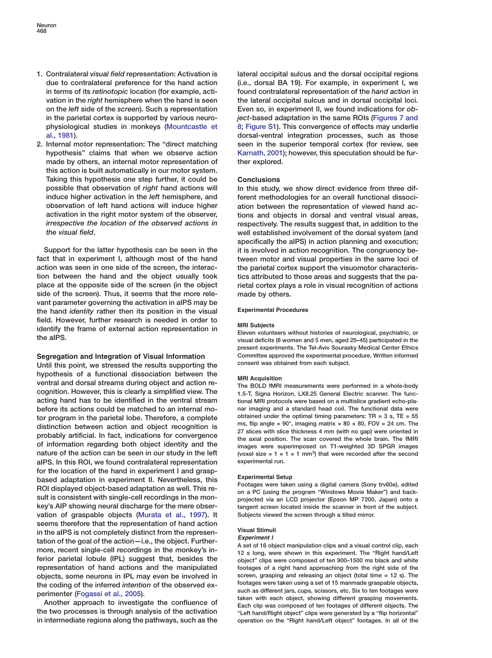- 
- made by others, an internal motor representation of ther explored. **this action is built automatically in our motor system. Taking this hypothesis one step further, it could be Conclusions possible that observation of** *right* **hand actions will In this study, we show direct evidence from three dif-**

**fact that in experiment I, although most of the hand tween motor and visual properties in the same loci of action was seen in one side of the screen, the interac- the parietal cortex support the visuomotor characteristion between the hand and the object usually took tics attributed to those areas and suggests that the paplace at the opposite side of the screen (in the object rietal cortex plays a role in visual recognition of actions side of the screen). Thus, it seems that the more rele- made by others. vant parameter governing the activation in aIPS may be the hand** *identity* **rather then its position in the visual Experimental Procedures** field. However, further research is needed in order to<br>identify the frame of external action representation in<br>the alPS.<br>visual deficits (6 women and 5 men, aged 25–45) participated in the

Until this point, we stressed the results supporting the **hypothesis of a functional dissociation between the MRI Acquisition ventral and dorsal streams during object and action re- The BOLD fMRI measurements were performed in a whole-body cognition. However, this is clearly a simplified view. The 1.5-T, Signa Horizon, LX8.25 General Electric scanner. The funcacting hand has to be identified in the ventral stream tional MRI protocols were based on a multislice gradient echo-plabefore its actions could be matched to an internal mo- nar imaging and a standard head coil. The functional data were** for program in the parietal lobe. Therefore, a complete<br>distinction between action and object recognition is<br>probably artificial. In fact, indications for convergence<br>of information regarding both object identity and the<br> **nature of the action can be seen in our study in the left (voxel size = 1 × 1 × 1 mm3) that were recorded after the second aIPS. In this ROI, we found contralateral representation experimental run. for the location of the hand in experiment I and grasp**based adaptation in experiment II. Nevertheless, this<br>
ROI displayed object-based adaptation as well. This re-<br>
sult is consistent with single-cell recordings in the mon-<br>
sult is consistent with single-cell recordings in **key's AIP showing neural discharge for the mere obser- tangent screen located inside the scanner in front of the subject. vation of graspable objects [\(Murata et al., 1997\)](#page-13-0). It Subjects viewed the screen through a tilted mirror. seems therefore that the representation of hand action** in the aIPS is not completely distinct from the represen-<br>
tation of the goal of the action—i.e., the object. Further-<br>
more, recent single-cell recordings in the monkey's in-<br>
ferior parietal lobule (IPL) suggest that, be **representation of hand actions and the manipulated footages of a right hand approaching from the right side of the objects, some neurons in IPL may even be involved in** screen, grasping and releasing an object (total time = 12 s). The the coding of the inferred intention of the observed ex. footages were taken using a set of 15 manmad **footages were taken using a set of 15 manmade graspable objects,**<br>such as different jars, cups, scissors, etc. Six to ten footages were

**the two processes is through analysis of the activation "Left hand/Right object" clips were generated by a "flip horizontal" in intermediate regions along the pathways, such as the operation on the "Right hand/Left object" footages. In all of the**

**1. Contralateral** *visual field* **representation: Activation is lateral occipital sulcus and the dorsal occipital regions due to contralateral preference for the hand action (i.e., dorsal BA 19). For example, in experiment I, we in terms of its** *retinotopic* **location (for example, acti- found contralateral representation of the** *hand action* **in vation in the** *right* **hemisphere when the hand is seen the lateral occipital sulcus and in dorsal occipital loci. on the** *left* **side of the** *screen***). Such a representation Even so, in experiment II, we found indications for** *ob***in the parietal cortex is supported by various neuro-** *ject***-based adaptation in the same ROIs [\(Figures 7 and](#page-7-0) physiological studies in monkeys [\(Mountcastle et](#page-13-0) [8](#page-7-0); Figure S1). This convergence of effects may underlie [al., 1981\)](#page-13-0). dorsal-ventral integration processes, such as those 2. Internal motor representation: The "direct matching seen in the superior temporal cortex (for review, see hypothesis" claims that when we observe action [Karnath, 2001\)](#page-13-0); however, this speculation should be fur-**

**induce higher activation in the** *left* **hemisphere, and ferent methodologies for an overall functional dissociobservation of left hand actions will induce higher ation between the representation of viewed hand acactivation in the right motor system of the observer, tions and objects in dorsal and ventral visual areas,** *irrespective the location of the observed actions in* **respectively. The results suggest that, in addition to the** *the visual field***. well established involvement of the dorsal system (and specifically the aIPS) in action planning and execution; Support for the latter hypothesis can be seen in the it is involved in action recognition. The congruency be-**

**present experiments. The Tel-Aviv Sourasky Medical Center Ethics Segregation and Integration of Visual Information** Committee approved the experimental procedure. Written informed<br>
Until this point, we stressed the results supporting the consent was obtained from each subject.

images were superimposed on T1-weighted 3D SPGR images

**object"** clips were composed of ten 900-1500 ms black and white perimenter [\(Fogassi et al., 2005\)](#page-12-0).<br>Another approach to investigate the confluence of<br>Another approach to investigate the confluence of Each clip was composed of ten footages of different objects. The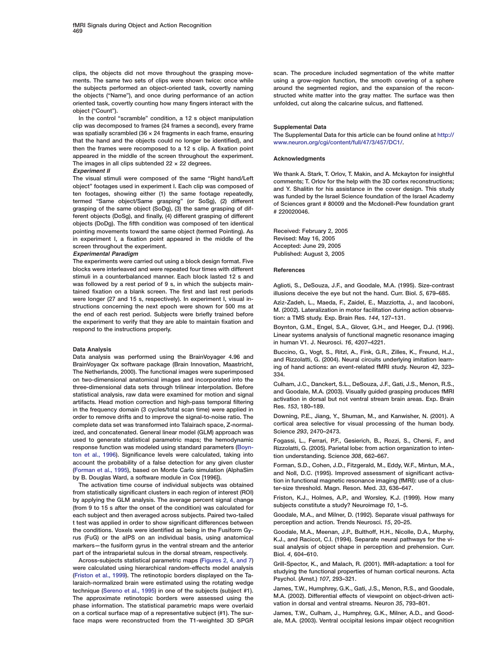**ments. The same two sets of clips were shown twice: once while using a grow-region function, the smooth covering of a sphere the subjects performed an object-oriented task, covertly naming around the segmented region, and the expansion of the reconthe objects ("Name"), and once during performance of an action structed white matter into the gray matter. The surface was then oriented task, covertly counting how many fingers interact with the unfolded, cut along the calcarine sulcus, and flattened. object ("Count").**

**In the control "scramble" condition, a 12 s object manipulation clip was decomposed to frames (24 frames a second), every frame Supplemental Data** was spatially scrambled (36 x 24 fragments in each frame, ensuring **The Supplemental Data for this article can be found online at [http://](http://www.neuron.org/cgi/content/full/47/3/457/DC1/)**<br>that the hand and the objects could no longer be identified), and www.peurop.org/co **then the frames were recomposed to a 12 s clip. A fixation point appeared in the middle of the screen throughout the experiment. Acknowledgments The images in all clips subtended 22 × 22 degrees.**

**ferent objects (DoSg), and finally, (4) different grasping of different objects (DoDg). The fifth condition was composed of ten identical pointing movements toward the same object (termed Pointing). As Received: February 2, 2005 in experiment I, a fixation point appeared in the middle of the Revised: May 16, 2005 screen throughout the experiment. Accepted: June 29, 2005** 

**The experiments were carried out using a block design format. Five blocks were interleaved and were repeated four times with different References stimuli in a counterbalanced manner. Each block lasted 12 s and was followed by a rest period of 9 s, in which the subjects main- Aglioti, S., DeSouza, J.F., and Goodale, M.A. (1995). Size-contrast tained fixation on a blank screen. The first and last rest periods illusions deceive the eye but not the hand. Curr. Biol.** *5***, 679–685.** were longer (27 and 15 s, respectively). In experiment i, visual in-<br>structions concerning the next epoch were shown for 500 ms at<br>tructions concerning the next experiment to verify trained before<br>the experiment to verify **Boynton, G.M., Engel, S.A., Glover, G.H., and Heeger, D.J. (1996). respond to the instructions properly.**

on two-dimensional anatomical images and incorporated into the<br>
three-dimensional data sets through trilinear interpolation. Before<br>
statistical analysis, raw data were examined for motion and signal<br>
artifacts. Head motio **order to remove drifts and to improve the signal-to-noise ratio. The Downing, P.E., Jiang, Y., Shuman, M., and Kanwisher, N. (2001). A complete data set was transformed into Talairach space, Z-normal- cortical area selective for visual processing of the human body. Science** *293***, 2470–2473. ized, and concatenated. General linear model (GLM) approach was used to generate statistical parametric maps; the hemodynamic Fogassi, L., Ferrari, P.F., Gesierich, B., Rozzi, S., Chersi, F., and ton et al., 1996). Significance levels were calculated, taking into tion understanding. Science** *308***, 662–667.**

account the probability of a false detection for any given cluster<br>
(Forman, S.D., Cohen, J.D., Fitzgerald, M., Eddy, W.F., Mintun, M.A.,<br>
by B. Douglas Ward, a software module in Cox [1996]).<br>
The activation time course o **each subject and then averaged across subjects. Paired two-tailed Goodale, M.A., and Milner, D. (1992). Separate visual pathways for t test was applied in order to show significant differences between perception and action. Trends Neurosci.** *15***, 20–25. the conditions. Voxels were identified as being in the Fusiform Gy- Goodale, M.A., Meenan, J.P., Bulthoff, H.H., Nicolle, D.A., Murphy, markers—the fusiform gyrus in the ventral stream and the anterior sual analysis of object shape in perception and prehension. Curr. part of the intraparietal sulcus in the dorsal stream, respectively. Biol.** *4*, **604–610. Across-subjects statistical parametric maps** (Figures 2, 4, and 7) **Crill Spectar K** 

Across-subjects statistical parametric maps [\(Figures 2, 4, and 7\)](#page-2-0)<br>
were calculated using hierarchical random-effects model analysis<br>
(Friston et al., 1999). The retinotopic borders displayed on the Ta-<br>
larach-hormanized b **James, T.W., Humphrey, G.K., Gati, J.S., Menon, R.S., and Goodale, technique [\(Sereno et al., 1995\)](#page-13-0) in one of the subjects (subject #1).** The approximate retinotopic borders were assessed using the M.A. (2002). Differential effects of viewpoint on object-driven activities were assessed using the vation in dorsal and ventral streams. Neuron 35, 793-801. phase information. The statistical parametric maps were overlaid on a cortical surface map of a representative subject (#1). The sur-<br>
James, T.W., Culham, J., Humphrey, G.K., Milner, A.D., and Good-

<span id="page-12-0"></span>**clips, the objects did not move throughout the grasping move- scan. The procedure included segmentation of the white matter**

**that the hand and the objects could no longer be identified), and [www.neuron.org/cgi/content/full/47/3/457/DC1/](http://www.neuron.org/cgi/content/full/47/3/457/DC1/).**

Experiment II<br>
The visual stimuli were composed of the same "Right hand/Left"<br>
object" footages used in experiment I. Each clip was composed of<br>
ten footages, showing either (1) the same footage repeatedly,<br>
termed "Same o

*Experimental Paradigm* **Published: August 3, 2005**

**Linear systems analysis of functional magnetic resonance imaging in human V1. J. Neurosci.** *16***, 4207–4221.**

Data Analysis<br>
Data analysis was performed using the BrainVoyager 4.96 and<br>
BrainVoyager Gx software package (Brain Innovation, Maastricht, and Rizzolatti, G. (2004). Neural circuits underlying imitation learn-<br>
The Nether

Rizzolatti, G. (2005). Parietal lobe: from action organization to inten-

K.J., and Racicot, C.I. (1994). Separate neural pathways for the vi-

**face maps were reconstructed from the T1-weighted 3D SPGR ale, M.A. (2003). Ventral occipital lesions impair object recognition**